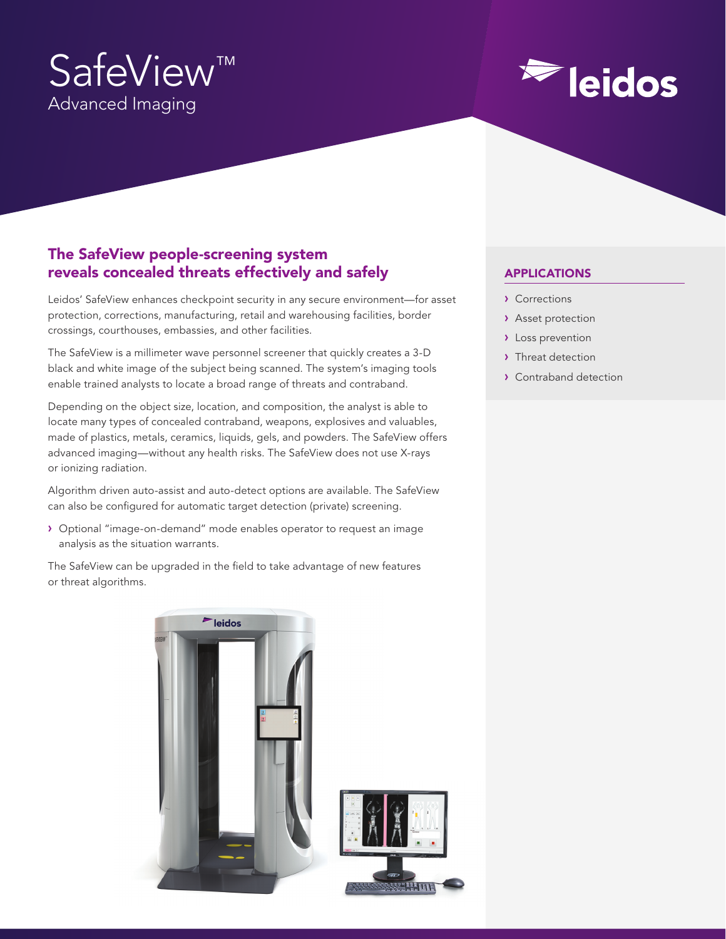# SafeView™ Advanced Imaging

# **Eleidos**

# The SafeView people-screening system reveals concealed threats effectively and safely

Leidos' SafeView enhances checkpoint security in any secure environment—for asset protection, corrections, manufacturing, retail and warehousing facilities, border crossings, courthouses, embassies, and other facilities.

The SafeView is a millimeter wave personnel screener that quickly creates a 3-D black and white image of the subject being scanned. The system's imaging tools enable trained analysts to locate a broad range of threats and contraband.

Depending on the object size, location, and composition, the analyst is able to locate many types of concealed contraband, weapons, explosives and valuables, made of plastics, metals, ceramics, liquids, gels, and powders. The SafeView offers advanced imaging—without any health risks. The SafeView does not use X-rays or ionizing radiation.

Algorithm driven auto-assist and auto-detect options are available. The SafeView can also be configured for automatic target detection (private) screening.

› Optional "image-on-demand" mode enables operator to request an image analysis as the situation warrants.

The SafeView can be upgraded in the field to take advantage of new features or threat algorithms.



# APPLICATIONS

- › Corrections
- › Asset protection
- › Loss prevention
- > Threat detection
- › Contraband detection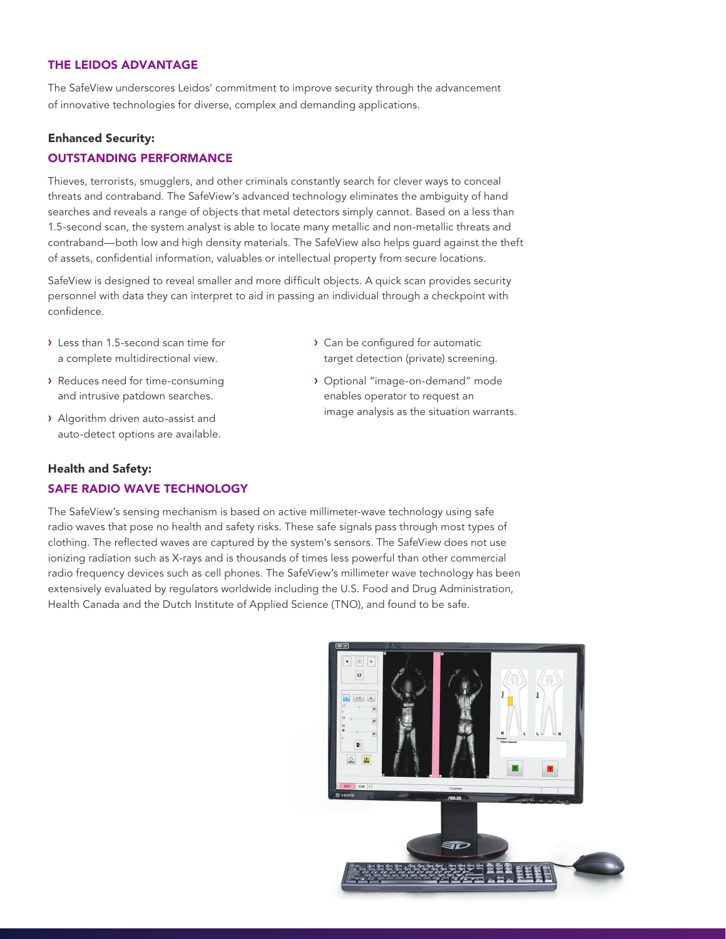#### THE LEIDOS ADVANTAGE

The SafeView underscores Leidos' commitment to improve security through the advancement of innovative technologies for diverse, complex and demanding applications.

#### Enhanced Security: OUTSTANDING PERFORMANCE

Thieves, terrorists, smugglers, and other criminals constantly search for clever ways to conceal threats and contraband. The SafeView's advanced technology eliminates the ambiguity of hand searches and reveals a range of objects that metal detectors simply cannot. Based on a less than 1.5-second scan, the system analyst is able to locate many metallic and non-metallic threats and contraband—both low and high density materials. The SafeView also helps guard against the theft of assets, confidential information, valuables or intellectual property from secure locations.

SafeView is designed to reveal smaller and more difficult objects. A quick scan provides security personnel with data they can interpret to aid in passing an individual through a checkpoint with confidence.

- › Less than 1.5-second scan time for a complete multidirectional view.
- › Reduces need for time-consuming and intrusive patdown searches.
- › Algorithm driven auto-assist and auto-detect options are available.
- › Can be configured for automatic target detection (private) screening.
- › Optional "image-on-demand" mode enables operator to request an image analysis as the situation warrants.

# Health and Safety: SAFE RADIO WAVE TECHNOLOGY

The SafeView's sensing mechanism is based on active millimeter-wave technology using safe radio waves that pose no health and safety risks. These safe signals pass through most types of clothing. The reflected waves are captured by the system's sensors. The SafeView does not use ionizing radiation such as X-rays and is thousands of times less powerful than other commercial radio frequency devices such as cell phones. The SafeView's millimeter wave technology has been extensively evaluated by regulators worldwide including the U.S. Food and Drug Administration, Health Canada and the Dutch Institute of Applied Science (TNO), and found to be safe.

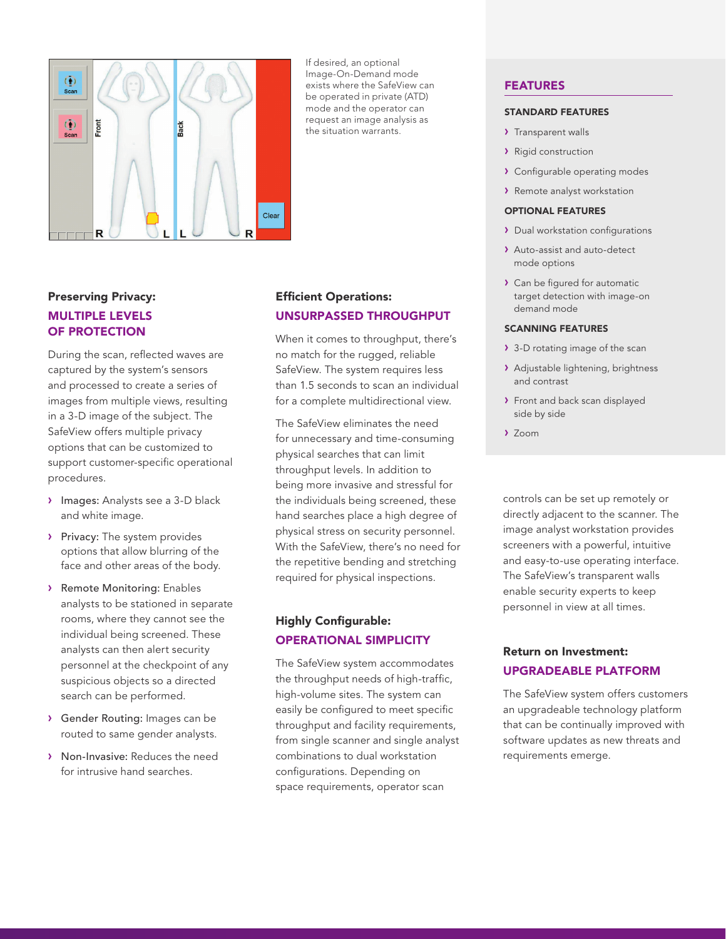

If desired, an optional Image-On-Demand mode exists where the SafeView can be operated in private (ATD) mode and the operator can request an image analysis as the situation warrants.

# Preserving Privacy: MULTIPLE LEVELS OF PROTECTION

During the scan, reflected waves are captured by the system's sensors and processed to create a series of images from multiple views, resulting in a 3-D image of the subject. The SafeView offers multiple privacy options that can be customized to support customer-specific operational procedures.

- › Images: Analysts see a 3-D black and white image.
- > Privacy: The system provides options that allow blurring of the face and other areas of the body.
- › Remote Monitoring: Enables analysts to be stationed in separate rooms, where they cannot see the individual being screened. These analysts can then alert security personnel at the checkpoint of any suspicious objects so a directed search can be performed.
- › Gender Routing: Images can be routed to same gender analysts.
- › Non-Invasive: Reduces the need for intrusive hand searches.

# Efficient Operations: UNSURPASSED THROUGHPUT

When it comes to throughput, there's no match for the rugged, reliable SafeView. The system requires less than 1.5 seconds to scan an individual for a complete multidirectional view.

The SafeView eliminates the need for unnecessary and time-consuming physical searches that can limit throughput levels. In addition to being more invasive and stressful for the individuals being screened, these hand searches place a high degree of physical stress on security personnel. With the SafeView, there's no need for the repetitive bending and stretching required for physical inspections.

# Highly Configurable: OPERATIONAL SIMPLICITY

The SafeView system accommodates the throughput needs of high-traffic, high-volume sites. The system can easily be configured to meet specific throughput and facility requirements, from single scanner and single analyst combinations to dual workstation configurations. Depending on space requirements, operator scan

#### FEATURES

#### STANDARD FEATURES

- > Transparent walls
- › Rigid construction
- › Configurable operating modes
- › Remote analyst workstation

#### OPTIONAL FEATURES

- › Dual workstation configurations
- › Auto-assist and auto-detect mode options
- › Can be figured for automatic target detection with image-on demand mode

#### SCANNING FEATURES

- › 3-D rotating image of the scan
- › Adjustable lightening, brightness and contrast
- > Front and back scan displayed side by side
- › Zoom

controls can be set up remotely or directly adjacent to the scanner. The image analyst workstation provides screeners with a powerful, intuitive and easy-to-use operating interface. The SafeView's transparent walls enable security experts to keep personnel in view at all times.

# Return on Investment: UPGRADEABLE PLATFORM

The SafeView system offers customers an upgradeable technology platform that can be continually improved with software updates as new threats and requirements emerge.